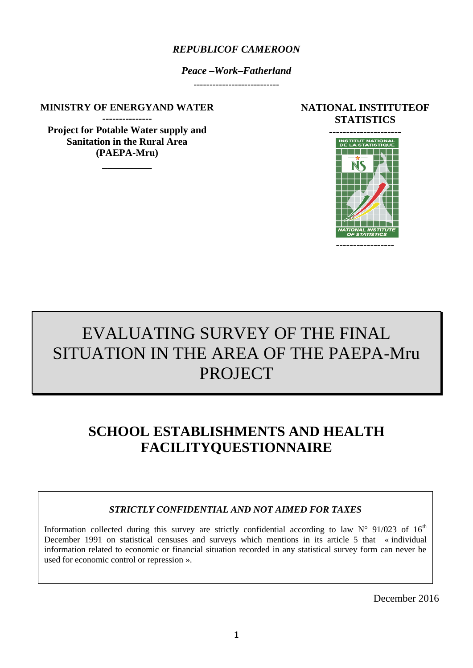## *REPUBLICOF CAMEROON*

*Peace –Work–Fatherland*

**MINISTRY OF ENERGYAND WATER**

**--------------- Project for Potable Water supply and Sanitation in the Rural Area (PAEPA-Mru)** 

**\_\_\_\_\_\_\_\_\_\_**

### **NATIONAL INSTITUTEOF STATISTICS**



# EVALUATING SURVEY OF THE FINAL SITUATION IN THE AREA OF THE PAEPA-Mru PROJECT

## **SCHOOL ESTABLISHMENTS AND HEALTH FACILITYQUESTIONNAIRE**

## *STRICTLY CONFIDENTIAL AND NOT AIMED FOR TAXES*

Information collected during this survey are strictly confidential according to law  $N^{\circ}$  91/023 of 16<sup>th</sup> December 1991 on statistical censuses and surveys which mentions in its article 5 that « individual information related to economic or financial situation recorded in any statistical survey form can never be used for economic control or repression ».

December 2016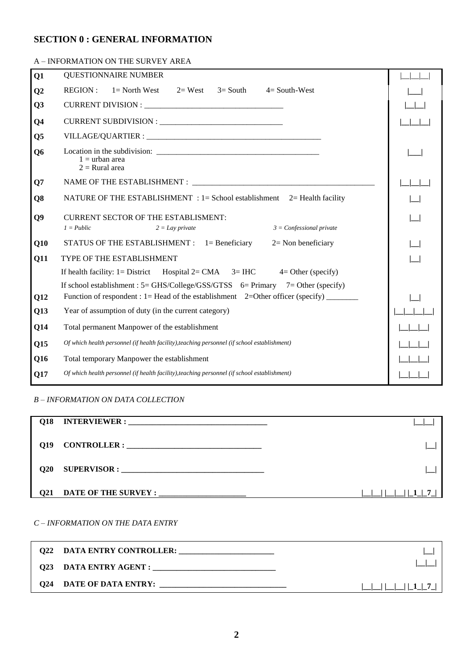### **SECTION 0 : GENERAL INFORMATION**

#### A – INFORMATION ON THE SURVEY AREA

| Q1             | <b>QUESTIONNAIRE NUMBER</b>                                                                                   |  |
|----------------|---------------------------------------------------------------------------------------------------------------|--|
| Q <sub>2</sub> | <b>REGION:</b><br>$1 =$ North West $2 =$ West $3 =$ South $4 =$ South-West                                    |  |
| Q <sub>3</sub> |                                                                                                               |  |
| Q <sub>4</sub> |                                                                                                               |  |
| Q <sub>5</sub> |                                                                                                               |  |
| Q <sub>6</sub> | $1 =$ urban area<br>$2 =$ Rural area                                                                          |  |
| Q7             |                                                                                                               |  |
| Q8             | NATURE OF THE ESTABLISHMENT : 1 = School establishment 2 = Health facility                                    |  |
| Q9             | <b>CURRENT SECTOR OF THE ESTABLISMENT:</b><br>$1 = Public$<br>$3 =$ Confessional private<br>$2 = Lay$ private |  |
| Q10            | STATUS OF THE ESTABLISHMENT : 1= Beneficiary<br>$2=$ Non beneficiary                                          |  |
| Q11            | <b>TYPE OF THE ESTABLISHMENT</b>                                                                              |  |
|                | If health facility: $1 =$ District Hospital $2 = CMA$ 3= IHC 4= Other (specify)                               |  |
|                | If school establishment : $5 = \frac{GHS}{\text{College}} / \frac{GSS}{GTSS}$ 6 = Primary 7 = Other (specify) |  |
| Q12            | Function of respondent : 1= Head of the establishment $2=Other$ officer (specify)                             |  |
| Q13            | Year of assumption of duty (in the current category)                                                          |  |
| Q14            | Total permanent Manpower of the establishment                                                                 |  |
| Q15            | Of which health personnel (if health facility), teaching personnel (if school establishment)                  |  |
| Q16            | Total temporary Manpower the establishment                                                                    |  |
| Q17            | Of which health personnel (if health facility), teaching personnel (if school establishment)                  |  |
|                |                                                                                                               |  |

#### *B – INFORMATION ON DATA COLLECTION*

| O18             |                                                                                                                                                      |  |
|-----------------|------------------------------------------------------------------------------------------------------------------------------------------------------|--|
| O19             | <b>CONTROLLER:</b><br><u> 1980 - Johann John Stein, fransk kampbellinger og det blev forskellige og forskellige og store og som forskellige og s</u> |  |
| O <sub>20</sub> |                                                                                                                                                      |  |
| <b>O21</b>      |                                                                                                                                                      |  |

#### *C – INFORMATION ON THE DATA ENTRY*

|     | <b>Q22 DATA ENTRY CONTROLLER:</b> |                 |
|-----|-----------------------------------|-----------------|
|     | Q23 DATA ENTRY AGENT : _____      |                 |
| Q24 | DATE OF DATA ENTRY:               | $-11$ 1 1 7 $-$ |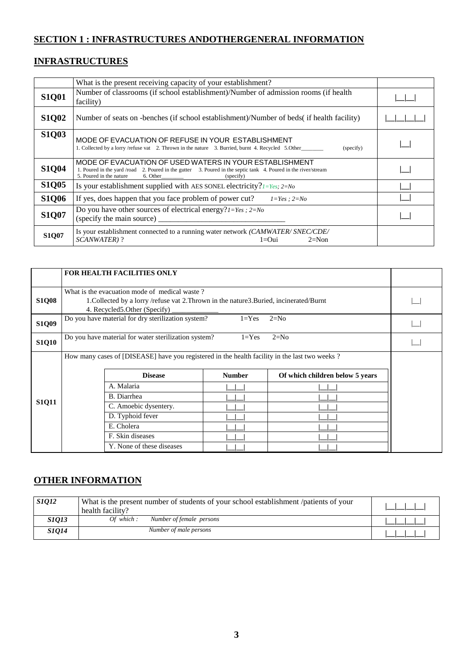## **SECTION 1 : INFRASTRUCTURES ANDOTHERGENERAL INFORMATION**

## **INFRASTRUCTURES**

|              | What is the present receiving capacity of your establishment?                                                                                                                                                     |  |
|--------------|-------------------------------------------------------------------------------------------------------------------------------------------------------------------------------------------------------------------|--|
| <b>S1Q01</b> | Number of classrooms (if school establishment)/Number of admission rooms (if health<br>facility)                                                                                                                  |  |
| <b>S1Q02</b> | Number of seats on -benches (if school establishment)/Number of beds( if health facility)                                                                                                                         |  |
| <b>S1Q03</b> | MODE OF EVACUATION OF REFUSE IN YOUR ESTABLISHMENT<br>1. Collected by a lorry /refuse vat 2. Thrown in the nature 3. Burried, burnt 4. Recycled 5. Other<br>(specify)                                             |  |
| <b>S1Q04</b> | MODE OF EVACUATION OF USED WATERS IN YOUR ESTABLISHMENT<br>1. Poured in the yard /road 2. Poured in the gutter 3. Poured in the septic tank 4. Poured in the river/stream<br>5. Poured in the nature<br>(specify) |  |
| <b>S1Q05</b> | Is your establishment supplied with AES SONEL electricity? $1 = Yes$ ; $2 = No$                                                                                                                                   |  |
| <b>S1Q06</b> | If yes, does happen that you face problem of power cut?<br>$1 = Yes$ ; $2 = No$                                                                                                                                   |  |
| <b>S1Q07</b> | Do you have other sources of electrical energy? $1 = Yes$ ; $2 = No$                                                                                                                                              |  |
| <b>S1Q07</b> | Is your establishment connected to a running water network (CAMWATER/SNEC/CDE/<br>SCANWATER)?<br>$1=0$ ui<br>$2=Non$                                                                                              |  |

|              | <b>FOR HEALTH FACILITIES ONLY</b>                                                                                                                                           |                                                  |  |  |  |  |  |  |
|--------------|-----------------------------------------------------------------------------------------------------------------------------------------------------------------------------|--------------------------------------------------|--|--|--|--|--|--|
| <b>S1Q08</b> | What is the evacuation mode of medical waste?<br>1. Collected by a lorry /refuse vat 2. Thrown in the nature 3. Buried, incinerated/Burnt<br>4. Recycled 5. Other (Specify) |                                                  |  |  |  |  |  |  |
| <b>S1Q09</b> | Do you have material for dry sterilization system?<br>$1 = Yes$<br>$2=N0$                                                                                                   |                                                  |  |  |  |  |  |  |
| <b>S1Q10</b> | Do you have material for water sterilization system?<br>$2=N0$<br>$1 = Yes$                                                                                                 |                                                  |  |  |  |  |  |  |
|              | How many cases of [DISEASE] have you registered in the health facility in the last two weeks?                                                                               |                                                  |  |  |  |  |  |  |
|              | <b>Disease</b>                                                                                                                                                              | Of which children below 5 years<br><b>Number</b> |  |  |  |  |  |  |
|              | A. Malaria                                                                                                                                                                  |                                                  |  |  |  |  |  |  |
|              | B. Diarrhea                                                                                                                                                                 |                                                  |  |  |  |  |  |  |
| <b>S1Q11</b> | C. Amoebic dysentery.                                                                                                                                                       |                                                  |  |  |  |  |  |  |
|              | D. Typhoid fever                                                                                                                                                            |                                                  |  |  |  |  |  |  |
|              | E. Cholera                                                                                                                                                                  |                                                  |  |  |  |  |  |  |
|              | F. Skin diseases                                                                                                                                                            |                                                  |  |  |  |  |  |  |
|              | Y. None of these diseases                                                                                                                                                   |                                                  |  |  |  |  |  |  |

## **OTHER INFORMATION**

| S1Q12        | What is the present number of students of your school establishment /patients of your<br>health facility? |  |
|--------------|-----------------------------------------------------------------------------------------------------------|--|
| <i>S1013</i> | Of which :<br>Number of female persons                                                                    |  |
| S1Q14        | Number of male persons                                                                                    |  |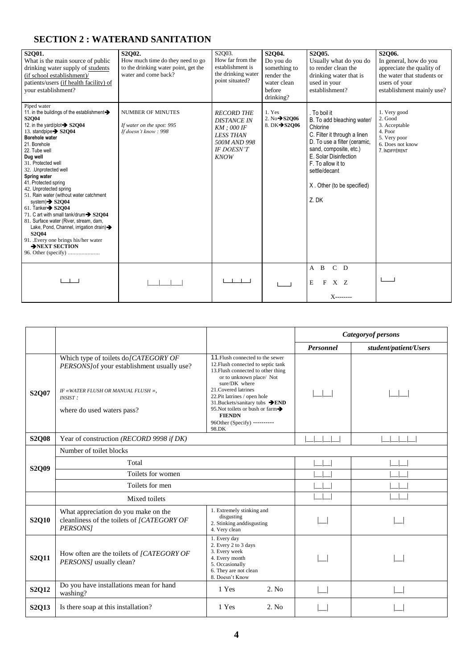## **SECTION 2 : WATERAND SANITATION**

| S2O01.<br>What is the main source of public<br>drinking water supply of students<br>(if school establishment)/<br>patients/users (if health facility) of<br>your establishment?                                                                                                                                                                                                                                                                                                                                                                                                                                              | S2O02.<br>How much time do they need to go<br>to the drinking water point, get the<br>water and come back? | S2Q03.<br>How far from the<br>establishment is<br>the drinking water<br>point situated?                                          | S2O04.<br>Do you do<br>something to<br>render the<br>water clean<br>before<br>drinking? | S2O05.<br>Usually what do you do<br>to render clean the<br>drinking water that is<br>used in your<br>establishment?                                                                                                                                   | S2O06.<br>In general, how do you<br>appreciate the quality of<br>the water that students or<br>users of your<br>establishment mainly use? |
|------------------------------------------------------------------------------------------------------------------------------------------------------------------------------------------------------------------------------------------------------------------------------------------------------------------------------------------------------------------------------------------------------------------------------------------------------------------------------------------------------------------------------------------------------------------------------------------------------------------------------|------------------------------------------------------------------------------------------------------------|----------------------------------------------------------------------------------------------------------------------------------|-----------------------------------------------------------------------------------------|-------------------------------------------------------------------------------------------------------------------------------------------------------------------------------------------------------------------------------------------------------|-------------------------------------------------------------------------------------------------------------------------------------------|
| Piped water<br>11. in the buildings of the establishment ><br>S2O04<br>12. in the yard/plot > S2O04<br>13. standpipe > S2Q04<br>Borehole water<br>21. Borehole<br>22. Tube well<br>Dug well<br>31. Protected well<br>32. Unprotected well<br>Spring water<br>41. Protected spring<br>42. Unprotected spring<br>51. Rain water (without water catchment<br>system) $\rightarrow$ S2Q04<br>61. Tanker $\rightarrow$ S2O04<br>71. C art with small tank/drum > S2O04<br>81. Surface water (River, stream, dam,<br>Lake, Pond, Channel, irrigation drain)<br><b>S2Q04</b><br>91. Every one brings his/her water<br>>NEXT SECTION | <b>NUMBER OF MINUTES</b><br>If water on the spot: 995<br>If doesn't know: 998                              | <b>RECORD THE</b><br><b>DISTANCE IN</b><br>$KM$ ; 000 IF<br><b>LESS THAN</b><br>500M AND 998<br><b>IF DOESN'T</b><br><b>KNOW</b> | 1. Yes<br>2. $No \rightarrow$ \$2006<br>8. DK→S2006                                     | . To boil it<br>B. To add bleaching water/<br>Chlorine<br>C. Filter it through a linen<br>D. To use a filter (ceramic,<br>sand, composite, etc.)<br>E. Solar Disinfection<br>F. To allow it to<br>settle/decant<br>X. Other (to be specified)<br>Z.DK | 1. Very good<br>2. Good<br>3. Acceptable<br>4. Poor<br>5. Very poor<br>6. Does not know<br>7. INDIFFÉRENT                                 |
|                                                                                                                                                                                                                                                                                                                                                                                                                                                                                                                                                                                                                              |                                                                                                            |                                                                                                                                  |                                                                                         | $C$ D<br>$\overline{B}$<br>A<br>E<br>XZ<br>F<br>$X$ --------                                                                                                                                                                                          |                                                                                                                                           |

|              |                                                                                                                                                                   |                                                                                                                                                                                                                                                                                                                                                    | <b>Categoryof persons</b> |                       |  |
|--------------|-------------------------------------------------------------------------------------------------------------------------------------------------------------------|----------------------------------------------------------------------------------------------------------------------------------------------------------------------------------------------------------------------------------------------------------------------------------------------------------------------------------------------------|---------------------------|-----------------------|--|
|              |                                                                                                                                                                   |                                                                                                                                                                                                                                                                                                                                                    | <b>Personnel</b>          | student/patient/Users |  |
| <b>S2Q07</b> | Which type of toilets do/CATEGORY OF<br>PERSONS/of your establishment usually use?<br>IF «WATER FLUSH OR MANUAL FLUSH »,<br>INSIST:<br>where do used waters pass? | 11. Flush connected to the sewer<br>12. Flush connected to septic tank<br>13. Flush connected to other thing<br>or to unknown place/ Not<br>sure/DK where<br>21. Covered latrines<br>22. Pit latrines / open hole<br>31. Buckets/sanitary tubs → END<br>95. Not toilets or bush or farm-<br><b>FIENDN</b><br>96Other (Specify) ----------<br>98.DK |                           |                       |  |
| <b>S2Q08</b> | Year of construction (RECORD 9998 if DK)                                                                                                                          |                                                                                                                                                                                                                                                                                                                                                    |                           |                       |  |
| <b>S2Q09</b> | Number of toilet blocks<br>Total                                                                                                                                  |                                                                                                                                                                                                                                                                                                                                                    |                           |                       |  |
|              | Toilets for women                                                                                                                                                 |                                                                                                                                                                                                                                                                                                                                                    |                           |                       |  |
|              | Toilets for men                                                                                                                                                   |                                                                                                                                                                                                                                                                                                                                                    |                           |                       |  |
|              | Mixed toilets                                                                                                                                                     |                                                                                                                                                                                                                                                                                                                                                    |                           |                       |  |
| <b>S2Q10</b> | What appreciation do you make on the<br>cleanliness of the toilets of [CATEGORY OF<br>PERSONS]                                                                    | 1. Extremely stinking and<br>disgusting<br>2. Stinking and<br>disgusting<br>4. Very clean                                                                                                                                                                                                                                                          |                           |                       |  |
| <b>S2Q11</b> | How often are the toilets of [CATEGORY OF<br>PERSONS] usually clean?                                                                                              | 1. Every day<br>2. Every 2 to 3 days<br>3. Every week<br>4. Every month<br>5. Occasionally<br>6. They are not clean<br>8. Doesn't Know                                                                                                                                                                                                             |                           |                       |  |
| S2Q12        | Do you have installations mean for hand<br>washing?                                                                                                               | 2. No<br>1 Yes                                                                                                                                                                                                                                                                                                                                     |                           |                       |  |
| <b>S2Q13</b> | Is there soap at this installation?                                                                                                                               | 1 Yes<br>2. No                                                                                                                                                                                                                                                                                                                                     |                           |                       |  |